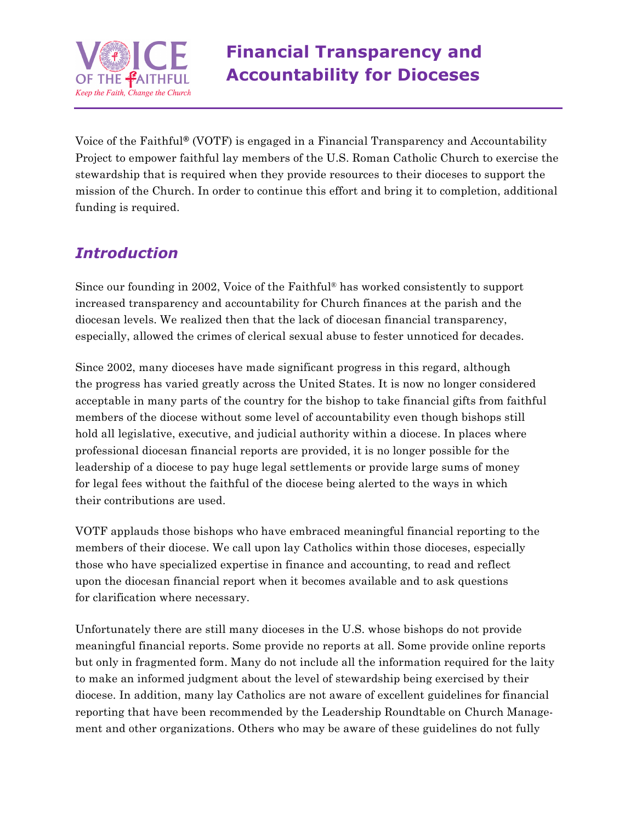

Voice of the Faithful**®** (VOTF) is engaged in a Financial Transparency and Accountability Project to empower faithful lay members of the U.S. Roman Catholic Church to exercise the stewardship that is required when they provide resources to their dioceses to support the mission of the Church. In order to continue this effort and bring it to completion, additional funding is required.

## *Introduction*

Since our founding in 2002, Voice of the Faithful® has worked consistently to support increased transparency and accountability for Church finances at the parish and the diocesan levels. We realized then that the lack of diocesan financial transparency, especially, allowed the crimes of clerical sexual abuse to fester unnoticed for decades.

Since 2002, many dioceses have made significant progress in this regard, although the progress has varied greatly across the United States. It is now no longer considered acceptable in many parts of the country for the bishop to take financial gifts from faithful members of the diocese without some level of accountability even though bishops still hold all legislative, executive, and judicial authority within a diocese. In places where professional diocesan financial reports are provided, it is no longer possible for the leadership of a diocese to pay huge legal settlements or provide large sums of money for legal fees without the faithful of the diocese being alerted to the ways in which their contributions are used.

VOTF applauds those bishops who have embraced meaningful financial reporting to the members of their diocese. We call upon lay Catholics within those dioceses, especially those who have specialized expertise in finance and accounting, to read and reflect upon the diocesan financial report when it becomes available and to ask questions for clarification where necessary.

Unfortunately there are still many dioceses in the U.S. whose bishops do not provide meaningful financial reports. Some provide no reports at all. Some provide online reports but only in fragmented form. Many do not include all the information required for the laity to make an informed judgment about the level of stewardship being exercised by their diocese. In addition, many lay Catholics are not aware of excellent guidelines for financial reporting that have been recommended by the Leadership Roundtable on Church Management and other organizations. Others who may be aware of these guidelines do not fully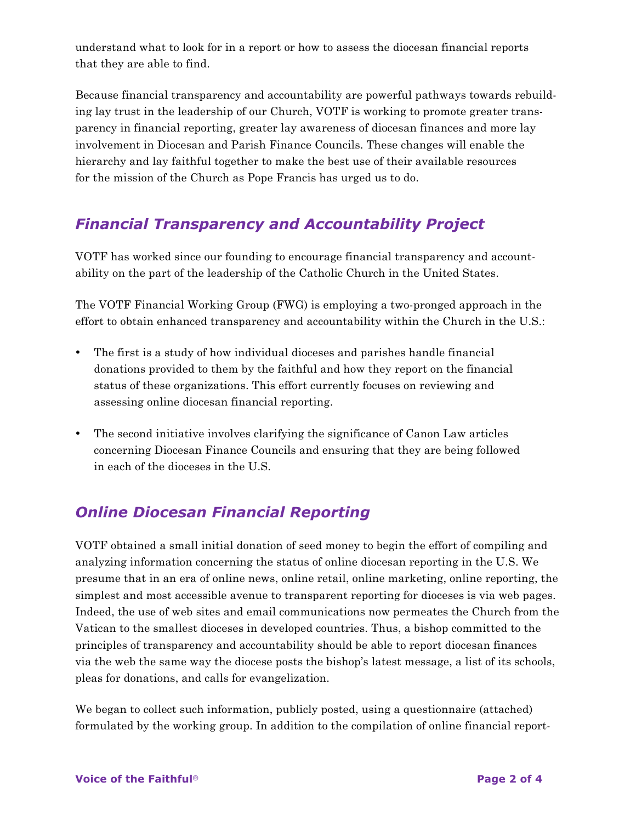understand what to look for in a report or how to assess the diocesan financial reports that they are able to find.

Because financial transparency and accountability are powerful pathways towards rebuilding lay trust in the leadership of our Church, VOTF is working to promote greater transparency in financial reporting, greater lay awareness of diocesan finances and more lay involvement in Diocesan and Parish Finance Councils. These changes will enable the hierarchy and lay faithful together to make the best use of their available resources for the mission of the Church as Pope Francis has urged us to do.

## *Financial Transparency and Accountability Project*

VOTF has worked since our founding to encourage financial transparency and accountability on the part of the leadership of the Catholic Church in the United States.

The VOTF Financial Working Group (FWG) is employing a two-pronged approach in the effort to obtain enhanced transparency and accountability within the Church in the U.S.:

- The first is a study of how individual dioceses and parishes handle financial donations provided to them by the faithful and how they report on the financial status of these organizations. This effort currently focuses on reviewing and assessing online diocesan financial reporting.
- The second initiative involves clarifying the significance of Canon Law articles concerning Diocesan Finance Councils and ensuring that they are being followed in each of the dioceses in the U.S.

## *Online Diocesan Financial Reporting*

VOTF obtained a small initial donation of seed money to begin the effort of compiling and analyzing information concerning the status of online diocesan reporting in the U.S. We presume that in an era of online news, online retail, online marketing, online reporting, the simplest and most accessible avenue to transparent reporting for dioceses is via web pages. Indeed, the use of web sites and email communications now permeates the Church from the Vatican to the smallest dioceses in developed countries. Thus, a bishop committed to the principles of transparency and accountability should be able to report diocesan finances via the web the same way the diocese posts the bishop's latest message, a list of its schools, pleas for donations, and calls for evangelization.

We began to collect such information, publicly posted, using a questionnaire (attached) formulated by the working group. In addition to the compilation of online financial report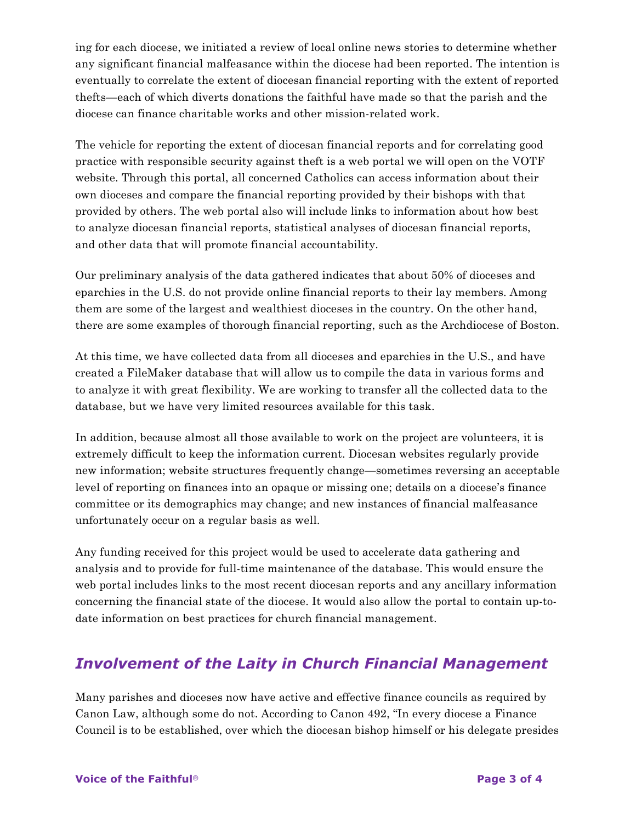ing for each diocese, we initiated a review of local online news stories to determine whether any significant financial malfeasance within the diocese had been reported. The intention is eventually to correlate the extent of diocesan financial reporting with the extent of reported thefts—each of which diverts donations the faithful have made so that the parish and the diocese can finance charitable works and other mission-related work.

The vehicle for reporting the extent of diocesan financial reports and for correlating good practice with responsible security against theft is a web portal we will open on the VOTF website. Through this portal, all concerned Catholics can access information about their own dioceses and compare the financial reporting provided by their bishops with that provided by others. The web portal also will include links to information about how best to analyze diocesan financial reports, statistical analyses of diocesan financial reports, and other data that will promote financial accountability.

Our preliminary analysis of the data gathered indicates that about 50% of dioceses and eparchies in the U.S. do not provide online financial reports to their lay members. Among them are some of the largest and wealthiest dioceses in the country. On the other hand, there are some examples of thorough financial reporting, such as the Archdiocese of Boston.

At this time, we have collected data from all dioceses and eparchies in the U.S., and have created a FileMaker database that will allow us to compile the data in various forms and to analyze it with great flexibility. We are working to transfer all the collected data to the database, but we have very limited resources available for this task.

In addition, because almost all those available to work on the project are volunteers, it is extremely difficult to keep the information current. Diocesan websites regularly provide new information; website structures frequently change—sometimes reversing an acceptable level of reporting on finances into an opaque or missing one; details on a diocese's finance committee or its demographics may change; and new instances of financial malfeasance unfortunately occur on a regular basis as well.

Any funding received for this project would be used to accelerate data gathering and analysis and to provide for full-time maintenance of the database. This would ensure the web portal includes links to the most recent diocesan reports and any ancillary information concerning the financial state of the diocese. It would also allow the portal to contain up-todate information on best practices for church financial management.

## *Involvement of the Laity in Church Financial Management*

Many parishes and dioceses now have active and effective finance councils as required by Canon Law, although some do not. According to Canon 492, "In every diocese a Finance Council is to be established, over which the diocesan bishop himself or his delegate presides